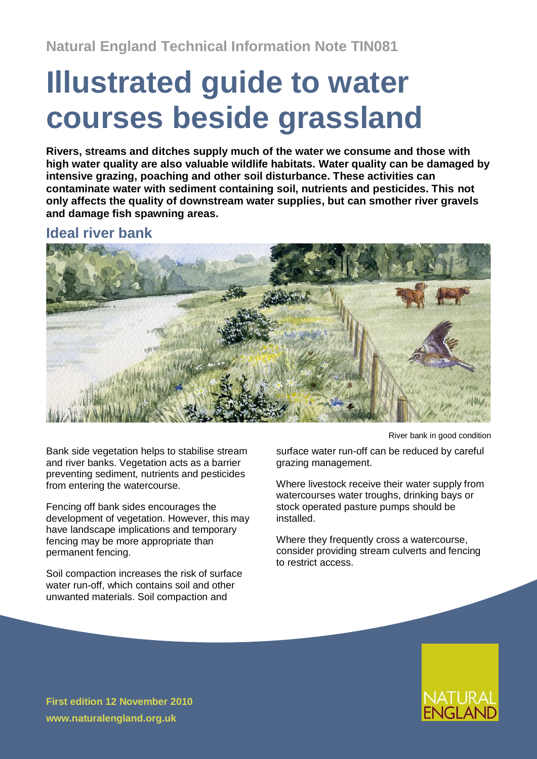# **Illustrated guide to water courses beside grassland**

**Rivers, streams and ditches supply much of the water we consume and those with high water quality are also valuable wildlife habitats. Water quality can be damaged by intensive grazing, poaching and other soil disturbance. These activities can contaminate water with sediment containing soil, nutrients and pesticides. This not only affects the quality of downstream water supplies, but can smother river gravels and damage fish spawning areas.**

## **Ideal river bank**



Bank side vegetation helps to stabilise stream and river banks. Vegetation acts as a barrier preventing sediment, nutrients and pesticides from entering the watercourse.

Fencing off bank sides encourages the development of vegetation. However, this may have landscape implications and temporary fencing may be more appropriate than permanent fencing.

Soil compaction increases the risk of surface water run-off, which contains soil and other unwanted materials. Soil compaction and

River bank in good condition

surface water run-off can be reduced by careful grazing management.

Where livestock receive their water supply from watercourses water troughs, drinking bays or stock operated pasture pumps should be installed.

Where they frequently cross a watercourse, consider providing stream culverts and fencing to restrict access.

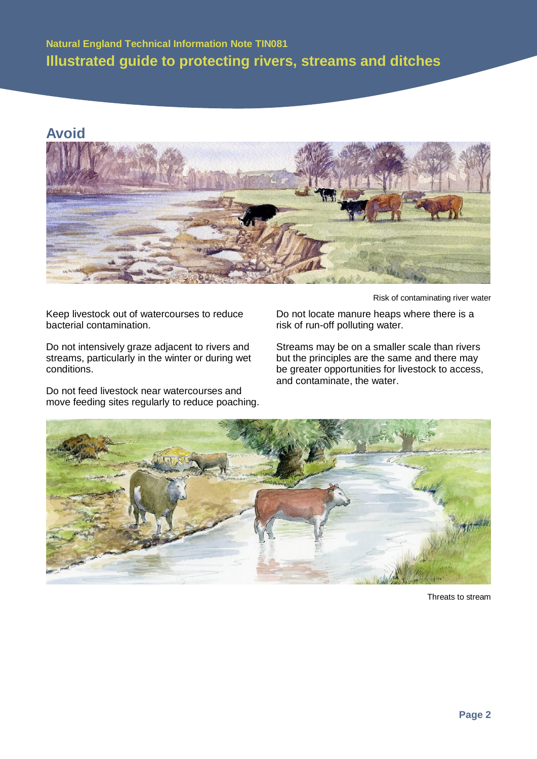# **Natural England Technical Information Note TIN081 Illustrated guide to protecting rivers, streams and ditches**

## **Avoid**



Keep livestock out of watercourses to reduce bacterial contamination.

Do not intensively graze adjacent to rivers and streams, particularly in the winter or during wet conditions.

Do not feed livestock near watercourses and move feeding sites regularly to reduce poaching.

Risk of contaminating river water

Do not locate manure heaps where there is a risk of run-off polluting water.

Streams may be on a smaller scale than rivers but the principles are the same and there may be greater opportunities for livestock to access, and contaminate, the water.



Threats to stream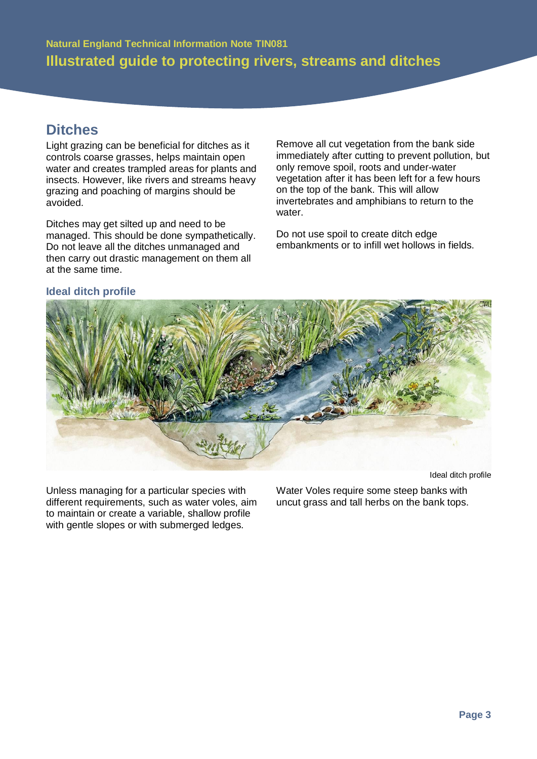# **Ditches**

Light grazing can be beneficial for ditches as it controls coarse grasses, helps maintain open water and creates trampled areas for plants and insects. However, like rivers and streams heavy grazing and poaching of margins should be avoided.

Ditches may get silted up and need to be managed. This should be done sympathetically. Do not leave all the ditches unmanaged and then carry out drastic management on them all at the same time.

Remove all cut vegetation from the bank side immediately after cutting to prevent pollution, but only remove spoil, roots and under-water vegetation after it has been left for a few hours on the top of the bank. This will allow invertebrates and amphibians to return to the water.

Do not use spoil to create ditch edge embankments or to infill wet hollows in fields.



**Ideal ditch profile**

Unless managing for a particular species with different requirements, such as water voles, aim to maintain or create a variable, shallow profile with gentle slopes or with submerged ledges.

Ideal ditch profile

Water Voles require some steep banks with uncut grass and tall herbs on the bank tops.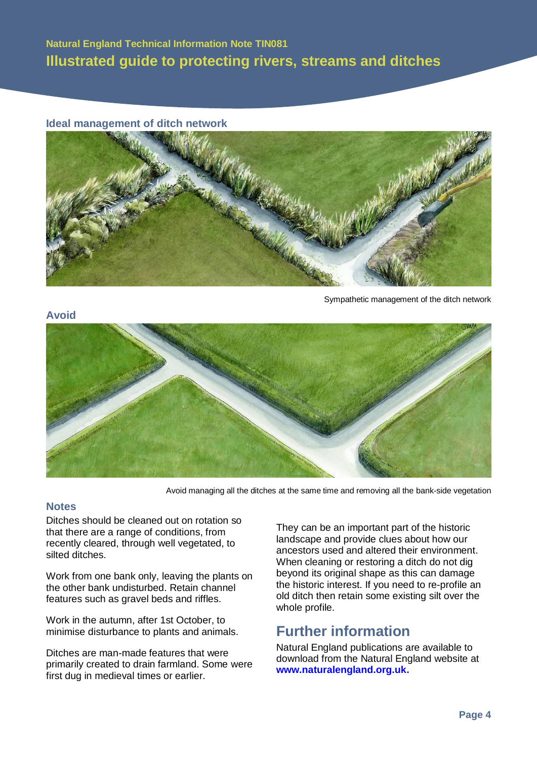## **Natural England Technical Information Note TIN081 Illustrated guide to protecting rivers, streams and ditches**

#### **Ideal management of ditch network**



Sympathetic management of the ditch network

#### **Avoid**



Avoid managing all the ditches at the same time and removing all the bank-side vegetation

#### **Notes**

Ditches should be cleaned out on rotation so that there are a range of conditions, from recently cleared, through well vegetated, to silted ditches.

Work from one bank only, leaving the plants on the other bank undisturbed. Retain channel features such as gravel beds and riffles.

Work in the autumn, after 1st October, to minimise disturbance to plants and animals.

Ditches are man-made features that were primarily created to drain farmland. Some were first dug in medieval times or earlier.

They can be an important part of the historic landscape and provide clues about how our ancestors used and altered their environment. When cleaning or restoring a ditch do not dig beyond its original shape as this can damage the historic interest. If you need to re-profile an old ditch then retain some existing silt over the whole profile.

## **Further information**

Natural England publications are available to download from the Natural England website at **[www.naturalengland.org.uk.](http://www.naturalengland.org.uk/)**